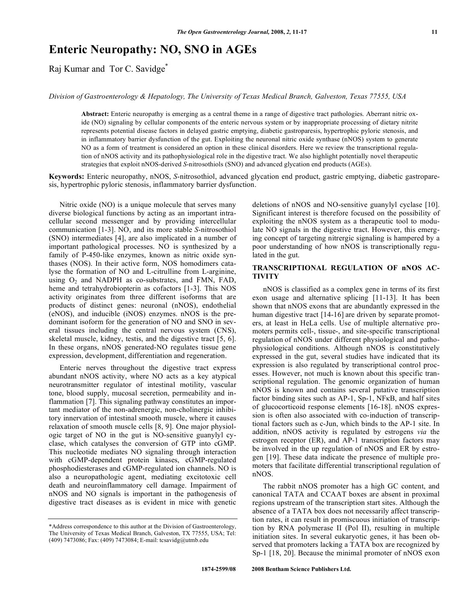# **Enteric Neuropathy: NO, SNO in AGEs**

Raj Kumar and Tor C. Savidge\*

*Division of Gastroenterology & Hepatology, The University of Texas Medical Branch, Galveston, Texas 77555, USA* 

**Abstract:** Enteric neuropathy is emerging as a central theme in a range of digestive tract pathologies. Aberrant nitric oxide (NO) signaling by cellular components of the enteric nervous system or by inappropriate processing of dietary nitrite represents potential disease factors in delayed gastric emptying, diabetic gastroparesis, hypertrophic pyloric stenosis, and in inflammatory barrier dysfunction of the gut. Exploiting the neuronal nitric oxide synthase (nNOS) system to generate NO as a form of treatment is considered an option in these clinical disorders. Here we review the transcriptional regulation of nNOS activity and its pathophysiological role in the digestive tract. We also highlight potentially novel therapeutic strategies that exploit nNOS-derived *S*-nitrosothiols (SNO) and advanced glycation end products (AGEs).

**Keywords:** Enteric neuropathy, nNOS, *S*-nitrosothiol, advanced glycation end product, gastric emptying, diabetic gastroparesis, hypertrophic pyloric stenosis, inflammatory barrier dysfunction.

 Nitric oxide (NO) is a unique molecule that serves many diverse biological functions by acting as an important intracellular second messenger and by providing intercellular communication [1-3]. NO, and its more stable *S*-nitrosothiol (SNO) intermediates [4], are also implicated in a number of important pathological processes. NO is synthesized by a family of P-450-like enzymes, known as nitric oxide synthases (NOS). In their active form, NOS homodimers catalyse the formation of NO and L-citrulline from L-arginine, using  $O_2$  and NADPH as co-substrates, and FMN, FAD, heme and tetrahydrobiopterin as cofactors [1-3]. This NOS activity originates from three different isoforms that are products of distinct genes: neuronal (nNOS), endothelial (eNOS), and inducible (iNOS) enzymes. nNOS is the predominant isoform for the generation of NO and SNO in several tissues including the central nervous system (CNS), skeletal muscle, kidney, testis, and the digestive tract [5, 6]. In these organs, nNOS generated-NO regulates tissue gene expression, development, differentiation and regeneration.

 Enteric nerves throughout the digestive tract express abundant nNOS activity, where NO acts as a key atypical neurotransmitter regulator of intestinal motility, vascular tone, blood supply, mucosal secretion, permeability and inflammation [7]. This signaling pathway constitutes an important mediator of the non-adrenergic, non-cholinergic inhibitory innervation of intestinal smooth muscle, where it causes relaxation of smooth muscle cells [8, 9]. One major physiologic target of NO in the gut is NO-sensitive guanylyl cyclase, which catalyses the conversion of GTP into cGMP. This nucleotide mediates NO signaling through interaction with cGMP-dependent protein kinases, cGMP-regulated phosphodiesterases and cGMP-regulated ion channels. NO is also a neuropathologic agent, mediating excitotoxic cell death and neuroinflammatory cell damage. Impairment of nNOS and NO signals is important in the pathogenesis of digestive tract diseases as is evident in mice with genetic

deletions of nNOS and NO-sensitive guanylyl cyclase [10]. Significant interest is therefore focused on the possibility of exploiting the nNOS system as a therapeutic tool to modulate NO signals in the digestive tract. However, this emerging concept of targeting nitrergic signaling is hampered by a poor understanding of how nNOS is transcriptionally regulated in the gut.

### **TRANSCRIPTIONAL REGULATION OF nNOS AC-TIVITY**

 nNOS is classified as a complex gene in terms of its first exon usage and alternative splicing [11-13]. It has been shown that nNOS exons that are abundantly expressed in the human digestive tract [14-16] are driven by separate promoters, at least in HeLa cells. Use of multiple alternative promoters permits cell-, tissue-, and site-specific transcriptional regulation of nNOS under different physiological and pathophysiological conditions. Although nNOS is constitutively expressed in the gut, several studies have indicated that its expression is also regulated by transcriptional control processes. However, not much is known about this specific transcriptional regulation. The genomic organization of human nNOS is known and contains several putative transcription factor binding sites such as  $AP-1$ ,  $Sp-1$ ,  $NFKB$ , and half sites of glucocorticoid response elements [16-18]. nNOS expression is often also associated with co-induction of transcriptional factors such as c-Jun, which binds to the AP-1 site. In addition, nNOS activity is regulated by estrogens *via* the estrogen receptor (ER), and AP-1 transcription factors may be involved in the up regulation of nNOS and ER by estrogen [19]. These data indicate the presence of multiple promoters that facilitate differential transcriptional regulation of nNOS.

 The rabbit nNOS promoter has a high GC content, and canonical TATA and CCAAT boxes are absent in proximal regions upstream of the transcription start sites. Although the absence of a TATA box does not necessarily affect transcription rates, it can result in promiscuous initiation of transcription by RNA polymerase II (Pol II), resulting in multiple initiation sites. In several eukaryotic genes, it has been observed that promoters lacking a TATA box are recognized by Sp-1 [18, 20]. Because the minimal promoter of nNOS exon

<sup>\*</sup>Address correspondence to this author at the Division of Gastroenterology, The University of Texas Medical Branch, Galveston, TX 77555, USA; Tel: (409) 7473086; Fax: (409) 7473084; E-mail: tcsavidg@utmb.edu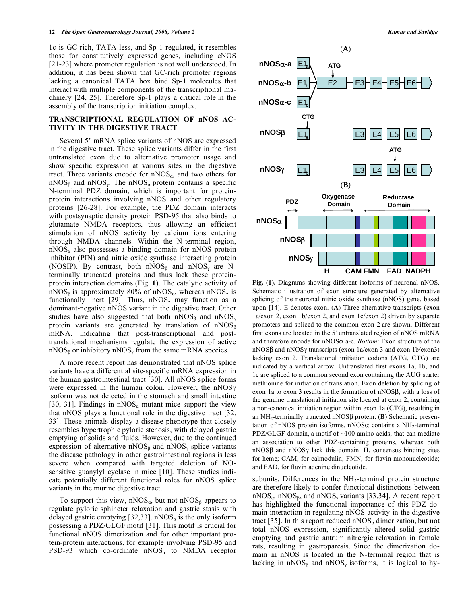1c is GC-rich, TATA-less, and Sp-1 regulated, it resembles those for constitutively expressed genes, including eNOS [21-23] where promoter regulation is not well understood. In addition, it has been shown that GC-rich promoter regions lacking a canonical TATA box bind Sp-1 molecules that interact with multiple components of the transcriptional machinery [24, 25]. Therefore Sp-1 plays a critical role in the assembly of the transcription initiation complex.

#### **TRANSCRIPTIONAL REGULATION OF nNOS AC-TIVITY IN THE DIGESTIVE TRACT**

 Several 5' mRNA splice variants of nNOS are expressed in the digestive tract. These splice variants differ in the first untranslated exon due to alternative promoter usage and show specific expression at various sites in the digestive tract. Three variants encode for  $nNOS_{\alpha}$ , and two others for  $nNOS_{\beta}$  and  $nNOS_{\gamma}$ . The  $nNOS_{\alpha}$  protein contains a specific N-terminal PDZ domain, which is important for proteinprotein interactions involving nNOS and other regulatory proteins [26-28]. For example, the PDZ domain interacts with postsynaptic density protein PSD-95 that also binds to glutamate NMDA receptors, thus allowing an efficient stimulation of nNOS activity by calcium ions entering through NMDA channels. Within the N-terminal region,  $nNOS<sub>a</sub>$  also possesses a binding domain for nNOS protein inhibitor (PIN) and nitric oxide synthase interacting protein (NOSIP). By contrast, both  $nNOS_{\beta}$  and  $nNOS_{\gamma}$  are Nterminally truncated proteins and thus lack these proteinprotein interaction domains (Fig. **1**). The catalytic activity of nNOS<sub> $\beta$ </sub> is approximately 80% of nNOS<sub> $\alpha$ </sub>, whereas nNOS<sub> $\gamma$ </sub> is functionally inert [29]. Thus,  $nNOS_{\gamma}$  may function as a dominant-negative nNOS variant in the digestive tract. Other studies have also suggested that both nNOS<sub> $\beta$ </sub> and nNOS<sub> $\gamma$ </sub> protein variants are generated by translation of  $nNOS_{\beta}$ mRNA, indicating that post-transcriptional and posttranslational mechanisms regulate the expression of active nNOS<sub> $\beta$ </sub> or inhibitory nNOS<sub> $\gamma$ </sub> from the same mRNA species.

 A more recent report has demonstrated that nNOS splice variants have a differential site-specific mRNA expression in the human gastrointestinal tract [30]. All nNOS splice forms were expressed in the human colon. However, the  $nNOS\gamma$ isoform was not detected in the stomach and small intestine [30, 31]. Findings in  $nNOS_{\alpha}$  mutant mice support the view that nNOS plays a functional role in the digestive tract [32, 33]. These animals display a disease phenotype that closely resembles hypertrophic pyloric stenosis, with delayed gastric emptying of solids and fluids. However, due to the continued expression of alternative nNOS<sub> $\beta$ </sub> and nNOS<sub> $\gamma$ </sub> splice variants the disease pathology in other gastrointestinal regions is less severe when compared with targeted deletion of NOsensitive guanylyl cyclase in mice [10]. These studies indicate potentially different functional roles for nNOS splice variants in the murine digestive tract.

To support this view,  $nNOS_{\alpha}$ , but not  $nNOS_{\beta}$  appears to regulate pyloric sphincter relaxation and gastric stasis with delayed gastric emptying [32,33].  $nNOS_{\alpha}$  is the only isoform possessing a PDZ/GLGF motif [31]. This motif is crucial for functional nNOS dimerization and for other important protein-protein interactions, for example involving PSD-95 and PSD-93 which co-ordinate  $nNOS_{\alpha}$  to NMDA receptor



**Fig. (1).** Diagrams showing different isoforms of neuronal nNOS. Schematic illustration of exon structure generated by alternative splicing of the neuronal nitric oxide synthase (nNOS) gene, based upon [14]. E denotes exon. (**A**) Three alternative transcripts (exon 1a/exon 2, exon 1b/exon 2, and exon 1c/exon 2) driven by separate promoters and spliced to the common exon 2 are shown. Different first exons are located in the 5' untranslated region of nNOS mRNA and therefore encode for  $nNOS\alpha$  a-c. *Bottom*: Exon structure of the  $nNOS\beta$  and  $nNOS\gamma$  transcripts (exon 1a/exon 3 and exon 1b/exon3) lacking exon 2. Translational initiation codons (ATG, CTG) are indicated by a vertical arrow. Untranslated first exons 1a, 1b, and 1c are spliced to a common second exon containing the AUG starter methionine for initiation of translation. Exon deletion by splicing of exon 1a to exon 3 results in the formation of  $nNOS\beta$ , with a loss of the genuine translational initiation site located at exon 2, containing a non-canonical initiation region within exon 1a (CTG), resulting in an  $NH_2$ -terminally truncated nNOS $\beta$  protein. (B) Schematic presentation of nNOS protein isoforms. nNOS $\alpha$  contains a NH<sub>2</sub>-terminal PDZ/GLGF-domain, a motif of ~100 amino acids, that can mediate an association to other PDZ-containing proteins, whereas both  $nNOS\beta$  and  $nNOS\gamma$  lack this domain. H, consensus binding sites for heme; CAM, for calmodulin; FMN, for flavin mononucleotide; and FAD, for flavin adenine dinucleotide.

subunits. Differences in the  $NH<sub>2</sub>$ -terminal protein structure are therefore likely to confer functional distinctions between  $nNOS_{\alpha}$ ,  $nNOS_{\beta}$ , and  $nNOS_{\gamma}$  variants [33,34]. A recent report has highlighted the functional importance of this PDZ domain interaction in regulating nNOS activity in the digestive tract [35]. In this report reduced  $nNOS_{\alpha}$  dimerization, but not total nNOS expression, significantly altered solid gastric emptying and gastric antrum nitrergic relaxation in female rats, resulting in gastroparesis. Since the dimerization domain in nNOS is located in the N-terminal region that is lacking in nNOS<sub> $\beta$ </sub> and nNOS<sub> $\gamma$ </sub> isoforms, it is logical to hy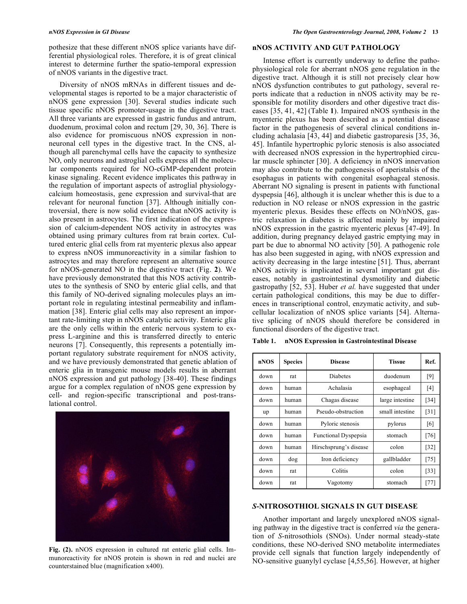pothesize that these different nNOS splice variants have differential physiological roles. Therefore, it is of great clinical interest to determine further the spatio-temporal expression of nNOS variants in the digestive tract.

 Diversity of nNOS mRNAs in different tissues and developmental stages is reported to be a major characteristic of nNOS gene expression [30]. Several studies indicate such tissue specific nNOS promoter-usage in the digestive tract. All three variants are expressed in gastric fundus and antrum, duodenum, proximal colon and rectum [29, 30, 36]. There is also evidence for promiscuous nNOS expression in nonneuronal cell types in the digestive tract. In the CNS, although all parenchymal cells have the capacity to synthesize NO, only neurons and astroglial cells express all the molecular components required for NO-cGMP-dependent protein kinase signaling. Recent evidence implicates this pathway in the regulation of important aspects of astroglial physiologycalcium homeostasis, gene expression and survival-that are relevant for neuronal function [37]. Although initially controversial, there is now solid evidence that nNOS activity is also present in astrocytes. The first indication of the expression of calcium-dependent NOS activity in astrocytes was obtained using primary cultures from rat brain cortex. Cultured enteric glial cells from rat myenteric plexus also appear to express nNOS immunoreactivity in a similar fashion to astrocytes and may therefore represent an alternative source for nNOS-generated NO in the digestive tract (Fig. **2**). We have previously demonstrated that this NOS activity contributes to the synthesis of SNO by enteric glial cells, and that this family of NO-derived signaling molecules plays an important role in regulating intestinal permeability and inflammation [38]. Enteric glial cells may also represent an important rate-limiting step in nNOS catalytic activity. Enteric glia are the only cells within the enteric nervous system to express L-arginine and this is transferred directly to enteric neurons [7]. Consequently, this represents a potentially important regulatory substrate requirement for nNOS activity, and we have previously demonstrated that genetic ablation of enteric glia in transgenic mouse models results in aberrant nNOS expression and gut pathology [38-40]. These findings argue for a complex regulation of nNOS gene expression by cell- and region-specific transcriptional and post-translational control.



**Fig. (2).** nNOS expression in cultured rat enteric glial cells. Immunoreactivity for nNOS protein is shown in red and nuclei are counterstained blue (magnification x400).

## **nNOS ACTIVITY AND GUT PATHOLOGY**

 Intense effort is currently underway to define the pathophysiological role for aberrant nNOS gene regulation in the digestive tract. Although it is still not precisely clear how nNOS dysfunction contributes to gut pathology, several reports indicate that a reduction in nNOS activity may be responsible for motility disorders and other digestive tract diseases [35, 41, 42] (Table **1**). Impaired nNOS synthesis in the myenteric plexus has been described as a potential disease factor in the pathogenesis of several clinical conditions including achalasia [43, 44] and diabetic gastroparesis [35, 36, 45]. Infantile hypertrophic pyloric stenosis is also associated with decreased nNOS expression in the hypertrophied circular muscle sphincter [30]. A deficiency in nNOS innervation may also contribute to the pathogenesis of aperistalsis of the esophagus in patients with congenital esophageal stenosis. Aberrant NO signaling is present in patients with functional dyspepsia [46], although it is unclear whether this is due to a reduction in NO release or nNOS expression in the gastric myenteric plexus. Besides these effects on NO/nNOS, gastric relaxation in diabetes is affected mainly by impaired nNOS expression in the gastric myenteric plexus [47-49]. In addition, during pregnancy delayed gastric emptying may in part be due to abnormal NO activity [50]. A pathogenic role has also been suggested in aging, with nNOS expression and activity decreasing in the large intestine [51]. Thus, aberrant nNOS activity is implicated in several important gut diseases, notably in gastrointestinal dysmotility and diabetic gastropathy [52, 53]. Huber *et al.* have suggested that under certain pathological conditions, this may be due to differences in transcriptional control, enzymatic activity, and subcellular localization of nNOS splice variants [54]. Alternative splicing of nNOS should therefore be considered in functional disorders of the digestive tract.

| nNOS | <b>Species</b> | <b>Disease</b>              | <b>Tissue</b>   | Ref.   |
|------|----------------|-----------------------------|-----------------|--------|
| down | rat            | Diabetes                    | duodenum        | [9]    |
| down | human          | Achalasia                   | esophageal      | [4]    |
| down | human          | Chagas disease              | large intestine | $[34]$ |
| up   | human          | Pseudo-obstruction          | small intestine | [31]   |
| down | human          | Pyloric stenosis            | pylorus         | [6]    |
| down | human          | <b>Functional Dyspepsia</b> | stomach         | [76]   |
| down | human          | Hirschsprung's disease      | colon           | $[32]$ |
| down | dog            | Iron deficiency             | gallbladder     | $[75]$ |
| down | rat            | Colitis                     | colon           | $[33]$ |
| down | rat            | Vagotomy                    | stomach         | $[77]$ |

**Table 1. nNOS Expression in Gastrointestinal Disease** 

#### *S***-NITROSOTHIOL SIGNALS IN GUT DISEASE**

 Another important and largely unexplored nNOS signaling pathway in the digestive tract is conferred *via* the generation of *S*-nitrosothiols (SNOs). Under normal steady-state conditions, these NO-derived SNO metabolite intermediates provide cell signals that function largely independently of NO-sensitive guanylyl cyclase [4,55,56]. However, at higher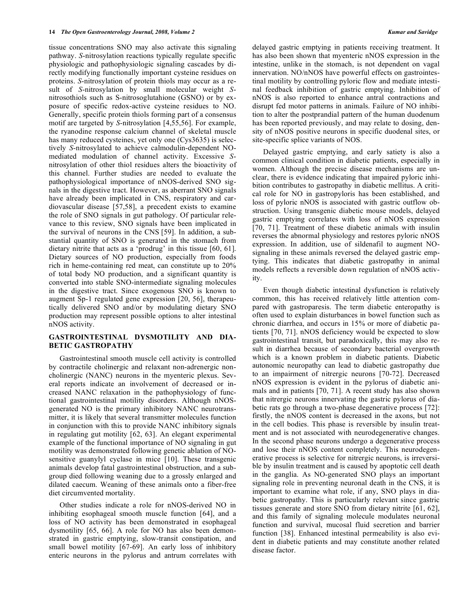tissue concentrations SNO may also activate this signaling pathway. *S*-nitrosylation reactions typically regulate specific physiologic and pathophysiologic signaling cascades by directly modifying functionally important cysteine residues on proteins. *S*-nitrosylation of protein thiols may occur as a result of *S*-nitrosylation by small molecular weight *S*nitrosothiols such as S-nitrosoglutahione (GSNO) or by exposure of specific redox-active cysteine residues to NO. Generally, specific protein thiols forming part of a consensus motif are targeted by *S*-nitrosylation [4,55,56]. For example, the ryanodine response calcium channel of skeletal muscle has many reduced cysteines, yet only one (Cys3635) is selectively *S*-nitrosylated to achieve calmodulin-dependent NOmediated modulation of channel activity. Excessive *S*nitrosylation of other thiol residues alters the bioactivity of this channel. Further studies are needed to evaluate the pathophysiological importance of nNOS-derived SNO signals in the digestive tract. However, as aberrant SNO signals have already been implicated in CNS, respiratory and cardiovascular disease [57,58], a precedent exists to examine the role of SNO signals in gut pathology. Of particular relevance to this review, SNO signals have been implicated in the survival of neurons in the CNS [59]. In addition, a substantial quantity of SNO is generated in the stomach from dietary nitrite that acts as a 'prodrug' in this tissue [60, 61]. Dietary sources of NO production, especially from foods rich in heme-containing red meat, can constitute up to 20% of total body NO production, and a significant quantity is converted into stable SNO-intermediate signaling molecules in the digestive tract. Since exogenous SNO is known to augment Sp-1 regulated gene expression [20, 56], therapeutically delivered SNO and/or by modulating dietary SNO production may represent possible options to alter intestinal nNOS activity.

# **GASTROINTESTINAL DYSMOTILITY AND DIA-BETIC GASTROPATHY**

 Gastrointestinal smooth muscle cell activity is controlled by contractile cholinergic and relaxant non-adrenergic noncholinergic (NANC) neurons in the myenteric plexus. Several reports indicate an involvement of decreased or increased NANC relaxation in the pathophysiology of functional gastrointestinal motility disorders. Although nNOSgenerated NO is the primary inhibitory NANC neurotransmitter, it is likely that several transmitter molecules function in conjunction with this to provide NANC inhibitory signals in regulating gut motility [62, 63]. An elegant experimental example of the functional importance of NO signaling in gut motility was demonstrated following genetic ablation of NOsensitive guanylyl cyclase in mice [10]. These transgenic animals develop fatal gastrointestinal obstruction, and a subgroup died following weaning due to a grossly enlarged and dilated caecum. Weaning of these animals onto a fiber-free diet circumvented mortality.

 Other studies indicate a role for nNOS-derived NO in inhibiting esophageal smooth muscle function [64], and a loss of NO activity has been demonstrated in esophageal dysmotility [65, 66]. A role for NO has also been demonstrated in gastric emptying, slow-transit constipation, and small bowel motility [67-69]. An early loss of inhibitory enteric neurons in the pylorus and antrum correlates with

delayed gastric emptying in patients receiving treatment. It has also been shown that myenteric nNOS expression in the intestine, unlike in the stomach, is not dependent on vagal innervation. NO/nNOS have powerful effects on gastrointestinal motility by controlling pyloric flow and mediate intestinal feedback inhibition of gastric emptying. Inhibition of nNOS is also reported to enhance antral contractions and disrupt fed motor patterns in animals. Failure of NO inhibition to alter the postprandial pattern of the human duodenum has been reported previously, and may relate to dosing, density of nNOS positive neurons in specific duodenal sites, or site-specific splice variants of NOS.

 Delayed gastric emptying, and early satiety is also a common clinical condition in diabetic patients, especially in women. Although the precise disease mechanisms are unclear, there is evidence indicating that impaired pyloric inhibition contributes to gastropathy in diabetic mellitus. A critical role for NO in gastropyloris has been established, and loss of pyloric nNOS is associated with gastric outflow obstruction. Using transgenic diabetic mouse models, delayed gastric emptying correlates with loss of nNOS expression [70, 71]. Treatment of these diabetic animals with insulin reverses the abnormal physiology and restores pyloric nNOS expression. In addition, use of sildenafil to augment NOsignaling in these animals reversed the delayed gastric emptying. This indicates that diabetic gastropathy in animal models reflects a reversible down regulation of nNOS activity.

 Even though diabetic intestinal dysfunction is relatively common, this has received relatively little attention compared with gastroparesis. The term diabetic enteropathy is often used to explain disturbances in bowel function such as chronic diarrhea, and occurs in 15% or more of diabetic patients [70, 71]. nNOS deficiency would be expected to slow gastrointestinal transit, but paradoxically, this may also result in diarrhea because of secondary bacterial overgrowth which is a known problem in diabetic patients. Diabetic autonomic neuropathy can lead to diabetic gastropathy due to an impairment of nitrergic neurons [70-72]. Decreased nNOS expression is evident in the pylorus of diabetic animals and in patients [70, 71]. A recent study has also shown that nitrergic neurons innervating the gastric pylorus of diabetic rats go through a two-phase degenerative process [72]: firstly, the nNOS content is decreased in the axons, but not in the cell bodies. This phase is reversible by insulin treatment and is not associated with neurodegenerative changes. In the second phase neurons undergo a degenerative process and lose their nNOS content completely. This neurodegenerative process is selective for nitrergic neurons, is irreversible by insulin treatment and is caused by apoptotic cell death in the ganglia. As NO-generated SNO plays an important signaling role in preventing neuronal death in the CNS, it is important to examine what role, if any, SNO plays in diabetic gastropathy. This is particularly relevant since gastric tissues generate and store SNO from dietary nitrite [61, 62], and this family of signaling molecule modulates neuronal function and survival, mucosal fluid secretion and barrier function [38]. Enhanced intestinal permeability is also evident in diabetic patients and may constitute another related disease factor.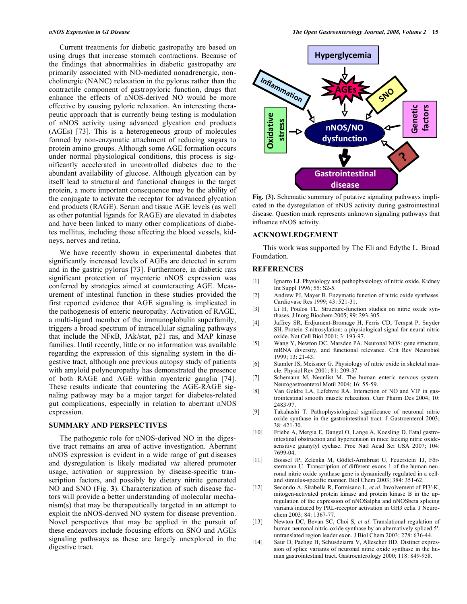Current treatments for diabetic gastropathy are based on using drugs that increase stomach contractions. Because of the findings that abnormalities in diabetic gastropathy are primarily associated with NO-mediated nonadrenergic, noncholinergic (NANC) relaxation in the pylorus rather than the contractile component of gastropyloric function, drugs that enhance the effects of nNOS-derived NO would be more effective by causing pyloric relaxation. An interesting therapeutic approach that is currently being testing is modulation of nNOS activity using advanced glycation end products (AGEs) [73]. This is a heterogeneous group of molecules formed by non-enzymatic attachment of reducing sugars to protein amino groups. Although some AGE formation occurs under normal physiological conditions, this process is significantly accelerated in uncontrolled diabetes due to the abundant availability of glucose. Although glycation can by itself lead to structural and functional changes in the target protein, a more important consequence may be the ability of the conjugate to activate the receptor for advanced glycation end products (RAGE). Serum and tissue AGE levels (as well as other potential ligands for RAGE) are elevated in diabetes and have been linked to many other complications of diabetes mellitus, including those affecting the blood vessels, kidneys, nerves and retina.

 We have recently shown in experimental diabetes that significantly increased levels of AGEs are detected in serum and in the gastric pylorus [73]. Furthermore, in diabetic rats significant protection of myenteric nNOS expression was conferred by strategies aimed at counteracting AGE. Measurement of intestinal function in these studies provided the first reported evidence that AGE signaling is implicated in the pathogenesis of enteric neuropathy. Activation of RAGE, a multi-ligand member of the immunoglobulin superfamily, triggers a broad spectrum of intracellular signaling pathways that include the NFKB, JAk/stat, p21 ras, and MAP kinase families. Until recently, little or no information was available regarding the expression of this signaling system in the digestive tract, although one previous autopsy study of patients with amyloid polyneuropathy has demonstrated the presence of both RAGE and AGE within myenteric ganglia [74]. These results indicate that countering the AGE-RAGE signaling pathway may be a major target for diabetes-related gut complications, especially in relation to aberrant nNOS expression.

#### **SUMMARY AND PERSPECTIVES**

 The pathogenic role for nNOS-derived NO in the digestive tract remains an area of active investigation. Aberrant nNOS expression is evident in a wide range of gut diseases and dysregulation is likely mediated *via* altered promoter usage, activation or suppression by disease-specific transcription factors, and possibly by dietary nitrite generated NO and SNO (Fig. **3**). Characterization of such disease factors will provide a better understanding of molecular mechanism(s) that may be therapeutically targeted in an attempt to exploit the nNOS-derived NO system for disease prevention. Novel perspectives that may be applied in the pursuit of these endeavors include focusing efforts on SNO and AGEs signaling pathways as these are largely unexplored in the digestive tract.



**Fig. (3).** Schematic summary of putative signaling pathways implicated in the dysregulation of nNOS activity during gastrointestinal disease. Question mark represents unknown signaling pathways that influence nNOS activity.

#### **ACKNOWLEDGEMENT**

 This work was supported by The Eli and Edythe L. Broad Foundation.

#### **REFERENCES**

- [1] Ignarro LJ. Physiology and pathophysiology of nitric oxide. Kidney Int Suppl 1996; 55: S2-5.
- [2] Andrew PJ, Mayer B. Enzymatic function of nitric oxide synthases. Cardiovasc Res 1999; 43: 521-31.
- [3] Li H, Poulos TL. Structure-function studies on nitric oxide synthases. J Inorg Biochem 2005; 99: 293-305.
- [4] Jaffrey SR, Erdjument-Bromage H, Ferris CD, Tempst P, Snyder SH. Protein *S*-nitrosylation: a physiological signal for neural nitric oxide. Nat Cell Biol 2001; 3: 193-97.
- [5] Wang Y, Newton DC, Marsden PA. Neuronal NOS: gene structure, mRNA diversity, and functional relevance. Crit Rev Neurobiol 1999; 13: 21-43.
- [6] Stamler JS, Meissner G. Physiology of nitric oxide in skeletal muscle. Physiol Rev 2001; 81: 209-37.
- [7] Schemann M, Neunlist M. The human enteric nervous system. Neurogastroenterol Motil 2004; 16: 55-59.
- [8] Van Geldre LA, Lefebvre RA. Interaction of NO and VIP in gastrointestinal smooth muscle relaxation. Curr Pharm Des 2004; 10: 2483-97.
- [9] Takahashi T. Pathophysiological significance of neuronal nitric oxide synthase in the gastrointestinal tract. J Gastroenterol 2003; 38: 421-30.
- [10] Friebe A, Mergia E, Dangel O, Lange A, Koesling D. Fatal gastrointestinal obstruction and hypertension in mice lacking nitric oxidesensitive guanylyl cyclase. Proc Natl Acad Sci USA 2007; 104: 7699-04.
- [11] Boissel JP, Zelenka M, Gödtel-Armbrust U, Feuerstein TJ, Förstermann U. Transcription of different exons 1 of the human neuronal nitric oxide synthase gene is dynamically regulated in a celland stimulus-specific manner. Biol Chem 2003; 384: 351-62.
- [12] Secondo A, Sirabella R, Formisano L, *et al*. Involvement of PI3'-K, mitogen-activated protein kinase and protein kinase B in the upregulation of the expression of nNOSalpha and nNOSbeta splicing variants induced by PRL-receptor activation in GH3 cells. J Neurochem 2003; 84: 1367-77.
- [13] Newton DC, Bevan SC, Choi S, *et al*. Translational regulation of human neuronal nitric-oxide synthase by an alternatively spliced 5' untranslated region leader exon. J Biol Chem 2003; 278: 636-44.
- [14] Saur D, Paehge H, Schusdziarra V, Allescher HD. Distinct expression of splice variants of neuronal nitric oxide synthase in the human gastrointestinal tract. Gastroenterology 2000; 118: 849-958.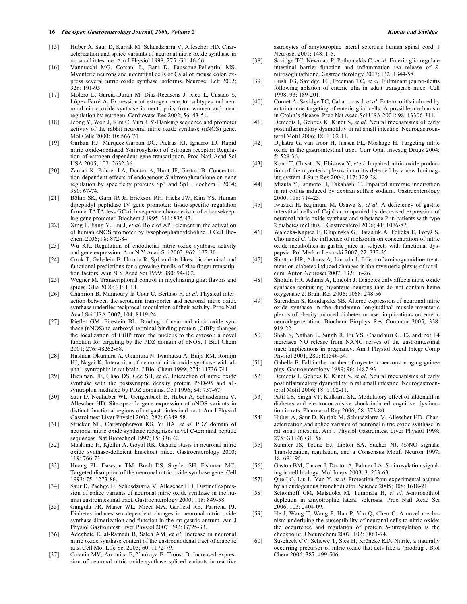#### **16** *The Open Gastroenterology Journal, 2008, Volume 2 Kumar and Savidge*

- [15] Huber A, Saur D, Kurjak M, Schusdziarra V, Allescher HD. Characterization and splice variants of neuronal nitric oxide synthase in rat small intestine. Am J Physiol 1998; 275: G1146-56.
- [16] Vannucchi MG, Corsani L, Bani D, Faussone-Pellegrini MS. Myenteric neurons and interstitial cells of Cajal of mouse colon express several nitric oxide synthase isoforms. Neurosci Lett 2002; 326: 191-95.
- [17] Molero L, García-Durán M, Diaz-Recasens J, Rico L, Casado S, López-Farré A. Expression of estrogen receptor subtypes and neuronal nitric oxide synthase in neutrophils from women and men: regulation by estrogen. Cardiovasc Res 2002; 56: 43-51.
- [18] Jeong Y, Won J, Kim C, Yim J. 5'-Flanking sequence and promoter activity of the rabbit neuronal nitric oxide synthase (nNOS) gene. Mol Cells 2000; 10: 566-74.
- [19] Garban HJ, Marquez-Garban DC, Pietras RJ, Ignarro LJ. Rapid nitric oxide-mediated *S*-nitrosylation of estrogen receptor: Regulation of estrogen-dependent gene transcription. Proc Natl Acad Sci USA 2005; 102: 2632-36.
- [20] Zaman K, Palmer LA, Doctor A, Hunt JF, Gaston B. Concentration-dependent effects of endogenous *S*-nitrosoglutathione on gene regulation by specificity proteins Sp3 and Sp1. Biochem J 2004; 380: 67-74.
- [21] Böhm SK, Gum JR Jr, Erickson RH, Hicks JW, Kim YS. Human dipeptidyl peptidase IV gene promoter: tissue-specific regulation from a TATA-less GC-rich sequence characteristic of a housekeeping gene promoter. Biochem J 1995; 311: 835-43.
- [22] Xing F, Jiang Y, Liu J, *et al*. Role of AP1 element in the activation of human eNOS promoter by lysophosphatidylcholine. J Cell Biochem 2006; 98: 872-84.
- [23] Wu KK. Regulation of endothelial nitric oxide synthase activity and gene expression. Ann N Y Acad Sci 2002; 962: 122-30.
- [24] Cook T, Gebelein B, Urrutia R. Sp1 and its likes: biochemical and functional predictions for a growing family of zinc finger transcription factors. Ann N Y Acad Sci 1999; 880: 94-102.
- [25] Wegner M. Transcriptional control in myelinating glia: flavors and spices. Glia 2000; 31: 1-14.
- [26] Chanrion B, Mannoury la Cour C, Bertaso F, *et al*. Physical interaction between the serotonin transporter and neuronal nitric oxide synthase underlies reciprocal modulation of their activity. Proc Natl Acad Sci USA 2007; 104: 8119-24.
- [27] Riefler GM, Firestein BL. Binding of neuronal nitric-oxide synthase (nNOS) to carboxyl-terminal-binding protein (CtBP) changes the localization of CtBP from the nucleus to the cytosol: a novel function for targeting by the PDZ domain of nNOS. J Biol Chem 2001; 276: 48262-68.
- [28] Hashida-Okumura A, Okumura N, Iwamatsu A, Buijs RM, Romijn HJ, Nagai K. Interaction of neuronal nitric-oxide synthase with alpha1-syntrophin in rat brain. J Biol Chem 1999; 274: 11736-741.
- [29] Brenman, JE, Chao DS, Gee SH, *et al*. Interaction of nitric oxide synthase with the postsynaptic density protein PSD-95 and a1 syntrophin mediated by PDZ domains. Cell 1996; 84: 757-67.
- [30] Saur D, Neuhuber WL, Gengenbach B, Huber A, Schusdziarra V, Allescher HD. Site-specific gene expression of nNOS variants in distinct functional regions of rat gastrointestinal tract. Am J Physiol Gastrointest Liver Physiol 2002; 282: G349-58.
- [31] Stricker NL, Christopherson KS, Yi BA, *et al*. PDZ domain of neuronal nitric oxide synthase recognizes novel C-terminal peptide sequences. Nat Biotechnol 1997; 15: 336-42.
- [32] Mashimo H, Kjellin A, Goyal RK. Gastric stasis in neuronal nitric oxide synthase-deficient knockout mice. Gastroenterology 2000; 119: 766-73.
- [33] Huang PL, Dawson TM, Bredt DS, Snyder SH, Fishman MC. Targeted disruption of the neuronal nitric oxide synthase gene. Cell 1993; 75: 1273-86.
- [34] Saur D, Paehge H, Schusdziarra V, Allescher HD. Distinct expression of splice variants of neuronal nitric oxide synthase in the human gastrointestinal tract. Gastroenterology 2000; 118: 849-58.
- [35] Gangula PR, Maner WL, Micci MA, Garfield RE, Pasricha PJ. Diabetes induces sex-dependent changes in neuronal nitric oxide synthase dimerization and function in the rat gastric antrum. Am J Physiol Gastrointest Liver Physiol 2007; 292: G725-33.
- [36] Adeghate E, al-Ramadi B, Saleh AM, *et al*. Increase in neuronal nitric oxide synthase content of the gastroduodenal tract of diabetic rats. Cell Mol Life Sci 2003; 60: 1172-79.
- [37] Catania MV, Arconica E, Yankaya B, Troost D. Increased expression of neuronal nitric oxide synthase spliced variants in reactive

astrocytes of amylotrophic lateral sclerosis human spinal cord. J Neurosci 2001; 148: 1-5.

- [38] Savidge TC, Newman P, Pothoulakis C, *et al*. Enteric glia regulate intestinal barrier function and inflammation *via* release of *S*nitrosoglutathione. Gastroenterology 2007; 132: 1344-58.
- [39] Bush TG, Savidge TC, Freeman TC, *et al.* Fulminant jejuno-ileitis following ablation of enteric glia in adult transgenic mice. Cell 1998; 93: 189-201.
- [40] Cornet A, Savidge TC, Cabarrocas J, *et al*. Enterocolitis induced by autoimmune targeting of enteric glial cells: A possible mechanism in Crohn's disease. Proc Nat Acad Sci USA 2001; 98: 13306-311.
- [41] Demedts I, Geboes K, Kindt S, *et al*. Neural mechanisms of early postinflammatory dysmotility in rat small intestine. Neurogastroenterol Motil 2006; 18: 1102-11.
- [42] Dijkstra G, van Goor H, Jansen PL, Moshage H. Targeting nitric oxide in the gastrointestinal tract. Curr Opin Investig Drugs 2004; 5: 529-36.
- [43] Kono T, Chisato N, Ebisawa Y, *et al*. Impaired nitric oxide production of the myenteric plexus in colitis detected by a new bioimaging system. J Surg Res 2004; 117: 329-38.
- [44] Mizuta Y, Isomoto H, Takahashi T. Impaired nitrergic innervation in rat colitis induced by dextran sulfate sodium. Gastroenterology 2000; 118: 714-23.
- [45] Iwasaki H, Kajimura M, Osawa S, *et al*. A deficiency of gastric interstitial cells of Cajal accompanied by decreased expression of neuronal nitric oxide synthase and substance P in patients with type 2 diabetes mellitus. J Gastroenterol 2006; 41: 1076-87.
- [46] Walecka-Kapica E, Klupińska G, Harasiuk A, Felicka E, Foryś S, Chojnacki C. The influence of melatonin on concentration of nitric oxide metabolites in gastric juice in subjects with functional dyspepsia. Pol Merkur Lekarski 2007; 22: 332-35.
- [47] Shotton HR, Adams A, Lincoln J. Effect of aminoguanidine treatment on diabetes-induced changes in the myenteric plexus of rat ileum. Auton Neurosci 2007; 132: 16-26.
- [48] Shotton HR, Adams A, Lincoln J. Diabetes only affects nitric oxide synthase-containing myenteric neurons that do not contain heme oxygenase 2. Brain Res 2006; 1068: 248-56.
- [49] Surendran S, Kondapaka SB. Altered expression of neuronal nitric oxide synthase in the duodenum longitudinal muscle-myenteric plexus of obesity induced diabetes mouse: implications on enteric neurodegeneration. Biochem Biophys Res Commun 2005; 338: 919-22.
- [50] Shah S, Nathan L, Singh R, Fu YS, Chaudhuri G. E2 and not P4 increases NO release from NANC nerves of the gastrointestinal tract: implications in pregnancy. Am J Physiol Regul Integr Comp Physiol 2001; 280: R1546-54.
- [51] Gabella B. Fall in the number of myenteric neurons in aging guinea pigs. Gastroenterology 1989; 96: 1487-93.
- [52] Demedts I, Geboes K, Kindt S, *et al*. Neural mechanisms of early postinflammatory dysmotility in rat small intestine. Neurogastroenterol Motil 2006; 18: 1102-11.
- [53] Patil CS, Singh VP, Kulkarni SK. Modulatory effect of sildenafil in diabetes and electroconvulsive shock-induced cognitive dysfunction in rats. Pharmacol Rep 2006; 58: 373-80.
- [54] Huber A, Saur D, Kurjak M, Schusdziarra V, Allescher HD. Characterization and splice variants of neuronal nitric oxide synthase in rat small intestine. Am J Physiol Gastrointest Liver Physiol 1998; 275: G1146-G1156.
- [55] Stamler JS, Toone EJ, Lipton SA, Sucher NJ. (S)NO signals: Translocation, regulation, and a Consensus Motif. Neuron 1997; 18: 691-96.
- [56] Gaston BM, Carver J, Doctor A, Palmer LA. *S*-nitrosylation signaling in cell biology. Mol Interv 2003; 3: 253-63.
- [57] Que LG, Liu L, Yan Y, *et al*. Protection from experimental asthma by an endogenous bronchodilator. Science 2005; 308: 1618-21.
- [58] Schonhoff CM, Matsuoka M, Tummala H, *et al. S*-nitrosothiol depletion in amyotrophic lateral sclerosis. Proc Natl Acad Sci 2006; 103: 2404-09.
- [59] He J, Wang T, Wang P, Han P, Yin Q, Chen C. A novel mechanism underlying the susceptibility of neuronal cells to nitric oxide: the occurrence and regulation of protein *S*-nitrosylation is the checkpoint. J Neurochem 2007; 102: 1863-74.
- [60] Suscheck CV, Schewe T, Sies H, Kröncke KD. Nitrite, a naturally occurring precursor of nitric oxide that acts like a 'prodrug'. Biol Chem 2006; 387: 499-506.